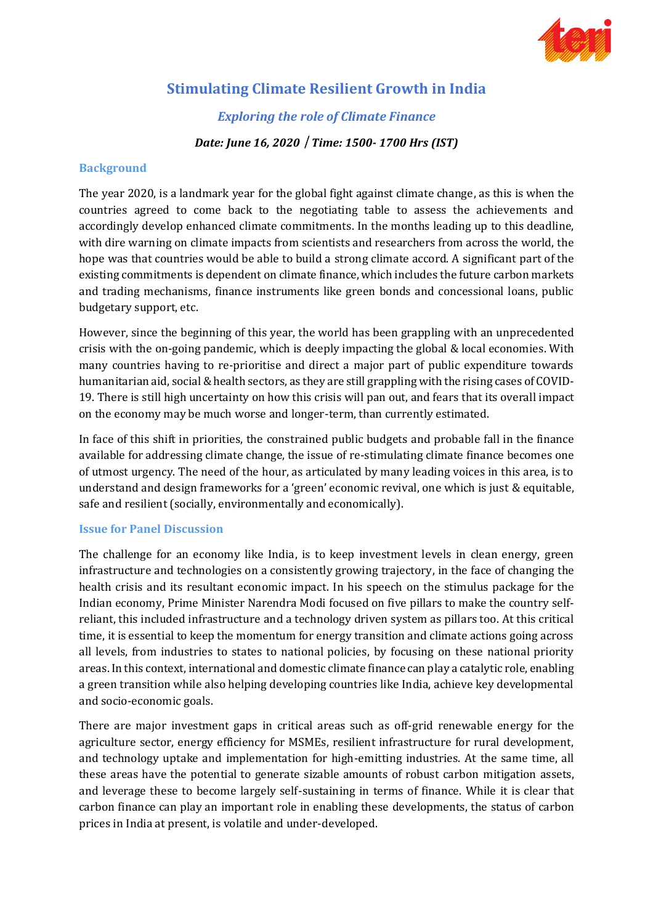

# **Stimulating Climate Resilient Growth in India**

*Exploring the role of Climate Finance*

### *Date: June 16, 2020 Time: 1500- 1700 Hrs (IST)*

### **Background**

The year 2020, is a landmark year for the global fight against climate change, as this is when the countries agreed to come back to the negotiating table to assess the achievements and accordingly develop enhanced climate commitments. In the months leading up to this deadline, with dire warning on climate impacts from scientists and researchers from across the world, the hope was that countries would be able to build a strong climate accord. A significant part of the existing commitments is dependent on climate finance, which includes the future carbon markets and trading mechanisms, finance instruments like green bonds and concessional loans, public budgetary support, etc.

However, since the beginning of this year, the world has been grappling with an unprecedented crisis with the on-going pandemic, which is deeply impacting the global & local economies. With many countries having to re-prioritise and direct a major part of public expenditure towards humanitarian aid, social & health sectors, as they are still grappling with the rising cases of COVID-19. There is still high uncertainty on how this crisis will pan out, and fears that its overall impact on the economy may be much worse and longer-term, than currently estimated.

In face of this shift in priorities, the constrained public budgets and probable fall in the finance available for addressing climate change, the issue of re-stimulating climate finance becomes one of utmost urgency. The need of the hour, as articulated by many leading voices in this area, is to understand and design frameworks for a 'green' economic revival, one which is just & equitable, safe and resilient (socially, environmentally and economically).

#### **Issue for Panel Discussion**

The challenge for an economy like India, is to keep investment levels in clean energy, green infrastructure and technologies on a consistently growing trajectory, in the face of changing the health crisis and its resultant economic impact. In his speech on the stimulus package for the Indian economy, Prime Minister Narendra Modi focused on five pillars to make the country selfreliant, this included infrastructure and a technology driven system as pillars too. At this critical time, it is essential to keep the momentum for energy transition and climate actions going across all levels, from industries to states to national policies, by focusing on these national priority areas. In this context, international and domestic climate finance can play a catalytic role, enabling a green transition while also helping developing countries like India, achieve key developmental and socio-economic goals.

There are major investment gaps in critical areas such as off-grid renewable energy for the agriculture sector, energy efficiency for MSMEs, resilient infrastructure for rural development, and technology uptake and implementation for high-emitting industries. At the same time, all these areas have the potential to generate sizable amounts of robust carbon mitigation assets, and leverage these to become largely self-sustaining in terms of finance. While it is clear that carbon finance can play an important role in enabling these developments, the status of carbon prices in India at present, is volatile and under-developed.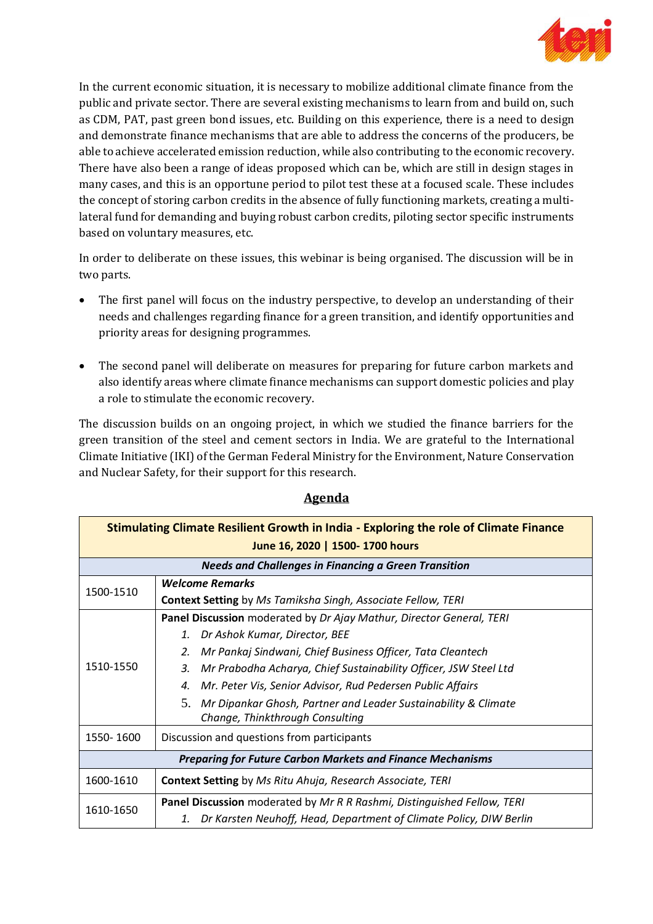

In the current economic situation, it is necessary to mobilize additional climate finance from the public and private sector. There are several existing mechanisms to learn from and build on, such as CDM, PAT, past green bond issues, etc. Building on this experience, there is a need to design and demonstrate finance mechanisms that are able to address the concerns of the producers, be able to achieve accelerated emission reduction, while also contributing to the economic recovery. There have also been a range of ideas proposed which can be, which are still in design stages in many cases, and this is an opportune period to pilot test these at a focused scale. These includes the concept of storing carbon credits in the absence of fully functioning markets, creating a multilateral fund for demanding and buying robust carbon credits, piloting sector specific instruments based on voluntary measures, etc.

In order to deliberate on these issues, this webinar is being organised. The discussion will be in two parts.

- The first panel will focus on the industry perspective, to develop an understanding of their needs and challenges regarding finance for a green transition, and identify opportunities and priority areas for designing programmes.
- The second panel will deliberate on measures for preparing for future carbon markets and also identify areas where climate finance mechanisms can support domestic policies and play a role to stimulate the economic recovery.

The discussion builds on an ongoing project, in which we studied the finance barriers for the green transition of the steel and cement sectors in India. We are grateful to the International Climate Initiative (IKI) of the German Federal Ministry for the Environment, Nature Conservation and Nuclear Safety, for their support for this research.

| Stimulating Climate Resilient Growth in India - Exploring the role of Climate Finance<br>June 16, 2020   1500-1700 hours |                                                                                                         |  |
|--------------------------------------------------------------------------------------------------------------------------|---------------------------------------------------------------------------------------------------------|--|
| <b>Needs and Challenges in Financing a Green Transition</b>                                                              |                                                                                                         |  |
| 1500-1510                                                                                                                | <b>Welcome Remarks</b>                                                                                  |  |
|                                                                                                                          | <b>Context Setting</b> by Ms Tamiksha Singh, Associate Fellow, TERI                                     |  |
| 1510-1550                                                                                                                | Panel Discussion moderated by Dr Ajay Mathur, Director General, TERI                                    |  |
|                                                                                                                          | 1. Dr Ashok Kumar, Director, BEE                                                                        |  |
|                                                                                                                          | Mr Pankaj Sindwani, Chief Business Officer, Tata Cleantech<br>2.                                        |  |
|                                                                                                                          | Mr Prabodha Acharya, Chief Sustainability Officer, JSW Steel Ltd<br>3.                                  |  |
|                                                                                                                          | Mr. Peter Vis, Senior Advisor, Rud Pedersen Public Affairs<br>4.                                        |  |
|                                                                                                                          | 5.<br>Mr Dipankar Ghosh, Partner and Leader Sustainability & Climate<br>Change, Thinkthrough Consulting |  |
| 1550-1600                                                                                                                | Discussion and questions from participants                                                              |  |
| <b>Preparing for Future Carbon Markets and Finance Mechanisms</b>                                                        |                                                                                                         |  |
| 1600-1610                                                                                                                | <b>Context Setting</b> by Ms Ritu Ahuja, Research Associate, TERI                                       |  |
| 1610-1650                                                                                                                | Panel Discussion moderated by Mr R R Rashmi, Distinguished Fellow, TERI                                 |  |
|                                                                                                                          | Dr Karsten Neuhoff, Head, Department of Climate Policy, DIW Berlin<br>1.                                |  |

## **Agenda**